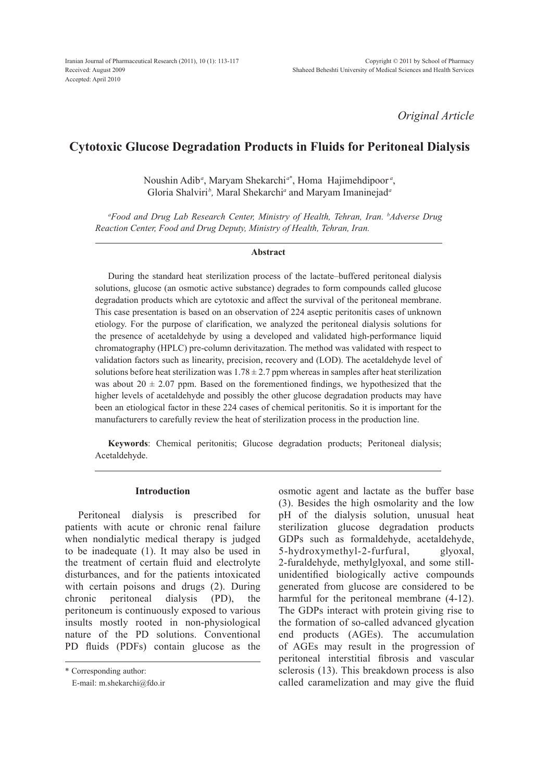*Original Article*

# **Cytotoxic Glucose Degradation Products in Fluids for Peritoneal Dialysis**

Noushin Adib*<sup>a</sup>* , Maryam Shekarchi*<sup>a</sup>*\* , Homa Hajimehdipoor *<sup>a</sup>* , Gloria Shalviri*<sup>b</sup> ,* Maral Shekarchi*<sup>a</sup>* and Maryam Imaninejad*<sup>a</sup>*

*a Food and Drug Lab Research Center, Ministry of Health, Tehran, Iran. b Adverse Drug Reaction Center, Food and Drug Deputy, Ministry of Health, Tehran, Iran.*

#### **Abstract**

During the standard heat sterilization process of the lactate–buffered peritoneal dialysis solutions, glucose (an osmotic active substance) degrades to form compounds called glucose degradation products which are cytotoxic and affect the survival of the peritoneal membrane. This case presentation is based on an observation of 224 aseptic peritonitis cases of unknown etiology. For the purpose of clarification, we analyzed the peritoneal dialysis solutions for the presence of acetaldehyde by using a developed and validated high-performance liquid chromatography (HPLC) pre-column derivitazation. The method was validated with respect to validation factors such as linearity, precision, recovery and (LOD). The acetaldehyde level of solutions before heat sterilization was  $1.78 \pm 2.7$  ppm whereas in samples after heat sterilization was about  $20 \pm 2.07$  ppm. Based on the forementioned findings, we hypothesized that the higher levels of acetaldehyde and possibly the other glucose degradation products may have been an etiological factor in these 224 cases of chemical peritonitis. So it is important for the manufacturers to carefully review the heat of sterilization process in the production line.

**Keywords**: Chemical peritonitis; Glucose degradation products; Peritoneal dialysis; Acetaldehyde.

## **Introduction**

Peritoneal dialysis is prescribed for patients with acute or chronic renal failure when nondialytic medical therapy is judged to be inadequate (1). It may also be used in the treatment of certain fluid and electrolyte disturbances, and for the patients intoxicated with certain poisons and drugs (2). During chronic peritoneal dialysis (PD), the peritoneum is continuously exposed to various insults mostly rooted in non-physiological nature of the PD solutions. Conventional PD fluids (PDFs) contain glucose as the

\* Corresponding author:

E-mail: m.shekarchi@fdo.ir

osmotic agent and lactate as the buffer base (3). Besides the high osmolarity and the low pH of the dialysis solution, unusual heat sterilization glucose degradation products GDPs such as formaldehyde, acetaldehyde, 5-hydroxymethyl-2-furfural, glyoxal, 2-furaldehyde, methylglyoxal, and some stillunidentified biologically active compounds generated from glucose are considered to be harmful for the peritoneal membrane  $(4-12)$ . The GDPs interact with protein giving rise to the formation of so-called advanced glycation end products (AGEs). The accumulation of AGEs may result in the progression of peritoneal interstitial fibrosis and vascular sclerosis (13). This breakdown process is also called caramelization and may give the fluid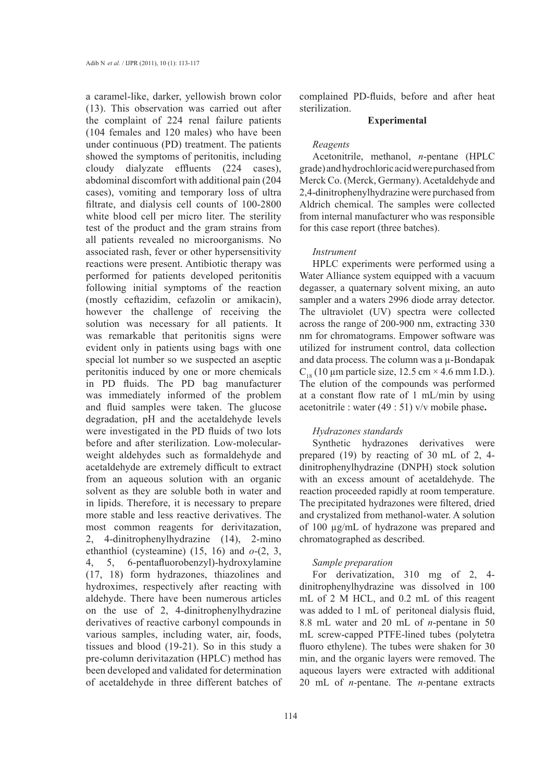a caramel-like, darker, yellowish brown color (13). This observation was carried out after the complaint of 224 renal failure patients (104 females and 120 males) who have been under continuous (PD) treatment. The patients showed the symptoms of peritonitis, including cloudy dialyzate effluents (224 cases), abdominal discomfort with additional pain (204 cases), vomiting and temporary loss of ultra filtrate, and dialysis cell counts of 100-2800 white blood cell per micro liter. The sterility test of the product and the gram strains from all patients revealed no microorganisms. No associated rash, fever or other hypersensitivity reactions were present. Antibiotic therapy was performed for patients developed peritonitis following initial symptoms of the reaction (mostly ceftazidim, cefazolin or amikacin), however the challenge of receiving the solution was necessary for all patients. It was remarkable that peritonitis signs were evident only in patients using bags with one special lot number so we suspected an aseptic peritonitis induced by one or more chemicals in PD fluids. The PD bag manufacturer was immediately informed of the problem and fluid samples were taken. The glucose degradation, pH and the acetaldehyde levels were investigated in the PD fluids of two lots before and after sterilization. Low-molecularweight aldehydes such as formaldehyde and acetaldehyde are extremely difficult to extract from an aqueous solution with an organic solvent as they are soluble both in water and in lipids. Therefore, it is necessary to prepare more stable and less reactive derivatives. The most common reagents for derivitazation, 2, 4-dinitrophenylhydrazine (14), 2-mino ethanthiol (cysteamine) (15, 16) and *o*-(2, 3, 4, 5, 6-pentafluorobenzyl)-hydroxylamine (17, 18) form hydrazones, thiazolines and hydroximes, respectively after reacting with aldehyde. There have been numerous articles on the use of 2, 4-dinitrophenylhydrazine derivatives of reactive carbonyl compounds in various samples, including water, air, foods, tissues and blood (19-21). So in this study a pre-column derivitazation (HPLC) method has been developed and validated for determination of acetaldehyde in three different batches of complained PD-fluids, before and after heat sterilization.

# **Experimental**

## *Reagents*

Acetonitrile, methanol, *n*-pentane (HPLC grade) and hydrochloric acid were purchased from Merck Co. (Merck, Germany). Acetaldehyde and 2,4-dinitrophenylhydrazine were purchased from Aldrich chemical. The samples were collected from internal manufacturer who was responsible for this case report (three batches).

#### *Instrument*

HPLC experiments were performed using a Water Alliance system equipped with a vacuum degasser, a quaternary solvent mixing, an auto sampler and a waters 2996 diode array detector. The ultraviolet (UV) spectra were collected across the range of 200-900 nm, extracting 330 nm for chromatograms. Empower software was utilized for instrument control, data collection and data process. The column was a  $\mu$ -Bondapak  $C_{18}$  (10 µm particle size, 12.5 cm  $\times$  4.6 mm I.D.). The elution of the compounds was performed at a constant flow rate of 1 mL/min by using acetonitrile : water (49 : 51) v/v mobile phase**.** 

## *Hydrazones standards*

Synthetic hydrazones derivatives were prepared (19) by reacting of 30 mL of 2, 4 dinitrophenylhydrazine (DNPH) stock solution with an excess amount of acetaldehyde. The reaction proceeded rapidly at room temperature. The precipitated hydrazones were filtered, dried and crystalized from methanol-water. A solution of 100 µg/mL of hydrazone was prepared and chromatographed as described.

#### *Sample preparation*

For derivatization, 310 mg of 2, 4 dinitrophenylhydrazine was dissolved in 100 mL of 2 M HCL, and 0.2 mL of this reagent was added to 1 mL of peritoneal dialysis fluid, 8.8 mL water and 20 mL of *n*-pentane in 50 mL screw-capped PTFE-lined tubes (polytetra fluoro ethylene). The tubes were shaken for 30 min, and the organic layers were removed. The aqueous layers were extracted with additional 20 mL of *n-*pentane. The *n-*pentane extracts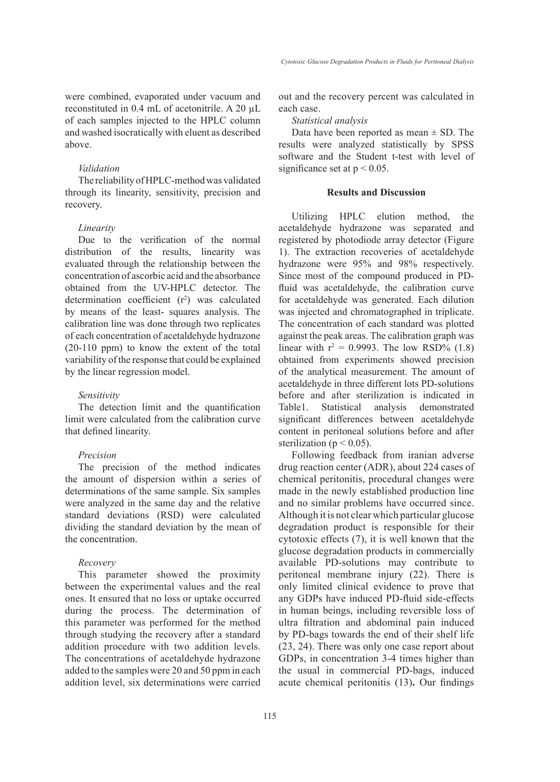were combined, evaporated under vacuum and reconstituted in 0.4 mL of acetonitrile. A 20 µL of each samples injected to the HPLC column and washed isocratically with eluent as described above.

#### *Validation*

The reliability of HPLC-method was validated through its linearity, sensitivity, precision and recovery.

#### *Linearity*

Due to the verification of the normal distribution of the results, linearity was evaluated through the relationship between the concentration of ascorbic acid and the absorbance obtained from the UV-HPLC detector. The determination coefficient  $(r^2)$  was calculated by means of the least- squares analysis. The calibration line was done through two replicates of each concentration of acetaldehyde hydrazone (20-110 ppm) to know the extent of the total variability of the response that could be explained by the linear regression model.

## *Sensitivity*

The detection limit and the quantification limit were calculated from the calibration curve that defined linearity.

#### *Precision*

The precision of the method indicates the amount of dispersion within a series of determinations of the same sample. Six samples were analyzed in the same day and the relative standard deviations (RSD) were calculated dividing the standard deviation by the mean of the concentration.

# *Recovery*

This parameter showed the proximity between the experimental values and the real ones. It ensured that no loss or uptake occurred during the process. The determination of this parameter was performed for the method through studying the recovery after a standard addition procedure with two addition levels. The concentrations of acetaldehyde hydrazone added to the samples were 20 and 50 ppm in each addition level, six determinations were carried

out and the recovery percent was calculated in each case.

# *Statistical analysis*

Data have been reported as mean  $\pm$  SD. The results were analyzed statistically by SPSS software and the Student t-test with level of significance set at  $p < 0.05$ .

### **Results and Discussion**

Utilizing HPLC elution method, the acetaldehyde hydrazone was separated and registered by photodiode array detector (Figure 1). The extraction recoveries of acetaldehyde hydrazone were 95% and 98% respectively. Since most of the compound produced in PDfluid was acetaldehyde, the calibration curve for acetaldehyde was generated. Each dilution was injected and chromatographed in triplicate. The concentration of each standard was plotted against the peak areas. The calibration graph was linear with  $r^2 = 0.9993$ . The low RSD% (1.8) obtained from experiments showed precision of the analytical measurement. The amount of acetaldehyde in three different lots PD-solutions before and after sterilization is indicated in Table1. Statistical analysis demonstrated significant differences between acetaldehyde content in peritoneal solutions before and after sterilization ( $p < 0.05$ ).

Following feedback from iranian adverse drug reaction center (ADR), about 224 cases of chemical peritonitis, procedural changes were made in the newly established production line and no similar problems have occurred since. Although it is not clear which particular glucose degradation product is responsible for their cytotoxic effects (7), it is well known that the glucose degradation products in commercially available PD-solutions may contribute to peritoneal membrane injury (22). There is only limited clinical evidence to prove that any GDPs have induced PD-fluid side-effects in human beings, including reversible loss of ultra filtration and abdominal pain induced by PD-bags towards the end of their shelf life (23, 24). There was only one case report about GDPs, in concentration 3-4 times higher than the usual in commercial PD-bags, induced acute chemical peritonitis (13)**.** Our findings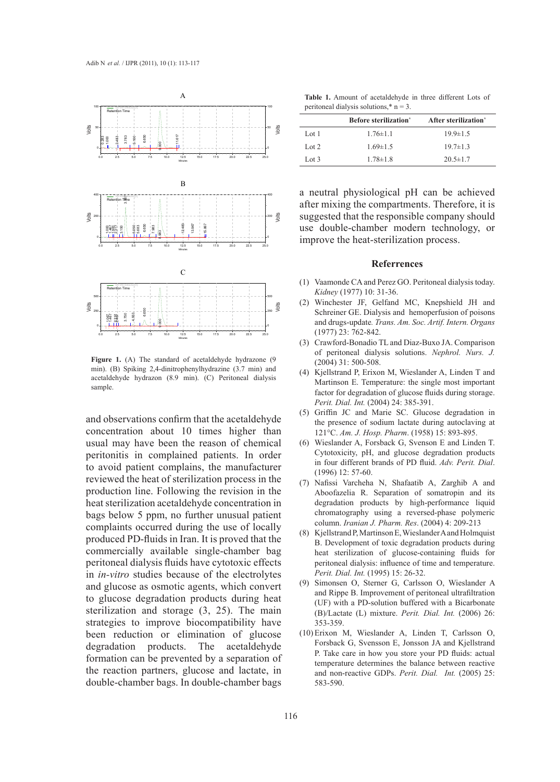

ding **Figure 1.** (A) The standard of acetaldehyde hydrazone (9.9 min). The standard of acetaldehyde hydrazone (9.9 min). (2004)  $S_{\text{anip}}$ . min). (B) Spiking 2,4-dinitrophenylhydrazine (3.7 min) and acetaldehyde hydrazon (8.9 min). (C) Peritoneal dialysis sample.

and observations confirm that the acetaldehyde concentration about 10 times higher than usual may have been the reason of chemical peritonitis in complained patients. In order to avoid patient complains, the manufacturer reviewed the heat of sterilization process in the  $(7)$  Nafisson production line. Following the revision in the heat sterilization acetaldehyde concentration in bags below 5 ppm, no further unusual patient complaints occurred during the use of locally produced PD-fluids in Iran. It is proved that the commercially available single-chamber bag peritoneal dialysis fluids have cytotoxic effects in *in-vitro* studies because of the electrolytes and glucose as osmotic agents, which convert to glucose degradation products during heat sterilization and storage (3, 25). The main strategies to improve biocompatibility have been reduction or elimination of glucose degradation products. The acetaldehyde formation can be prevented by a separation of the reaction partners, glucose and lactate, in double-chamber bags. In double-chamber bags

**Table 1.** Amount of acetaldehyde in three different Lots of peritoneal dialysis solutions, $*$  n = 3.

|       | <b>Before sterilization</b> * | After sterilization <sup>*</sup> |
|-------|-------------------------------|----------------------------------|
| Lot 1 | $1.76 \pm 1.1$                | $19.9 \pm 1.5$                   |
| Lot 2 | $1.69 \pm 1.5$                | $19.7 \pm 1.3$                   |
| Lot 3 | $1.78 \pm 1.8$                | $20.5 \pm 1.7$                   |

a neutral physiological pH can be achieved after mixing the compartments. Therefore, it is suggested that the responsible company should use double-chamber modern technology, or improve the heat-sterilization process.

#### **Referrences**

- Vaamonde CA and Perez GO. Peritoneal dialysis today. (1) *Kidney* (1977) 10: 31-36.
- Winchester JF, Gelfand MC, Knepshield JH and Schreiner GE. Dialysis and hemoperfusion of poisons and drugs-update*. Trans. Am. Soc. Artif. Intern. Organs* (1977) 23: 762-842. (2)
- Crawford-Bonadio TL and Diaz-Buxo JA. Comparison (3) of peritoneal dialysis solutions. *Nephrol. Nurs. J.* (2004) 31: 500-508.
- $(4)$  Kjellstrand P, Erixon M, Wieslander A, Linden T and Martinson E. Temperature: the single most important factor for degradation of glucose fluids during storage. *Perit. Dial. Int.* (2004) 24: 385-391.
- Griffin JC and Marie SC. Glucose degradation in (5) the presence of sodium lactate during autoclaving at 121°C. *Am. J. Hosp. Pharm*. (1958) 15: 893-895.
- Wieslander A, Forsback G, Svenson E and Linden T. (6) Cytotoxicity, pH, and glucose degradation products in four different brands of PD fluid. *Adv. Perit. Dial*. (1996) 12: 57-60.
- Nafissi Varcheha N, Shafaatib A, Zarghib A and (7) Aboofazelia R. Separation of somatropin and its degradation products by high-performance liquid chromatography using a reversed-phase polymeric column. *Iranian J. Pharm. Res*. (2004) 4: 209-213
- $(8)$  Kjellstrand P, Martinson E, Wieslander A and Holmquist B. Development of toxic degradation products during heat sterilization of glucose-containing fluids for peritoneal dialysis: influence of time and temperature. *Perit. Dial. Int.* (1995) 15: 26-32.
- (9) Simonsen O, Sterner G, Carlsson O, Wieslander A and Rippe B. Improvement of peritoneal ultrafiltration (UF) with a PD-solution buffered with a Bicarbonate (B)/Lactate (L) mixture. *Perit. Dial. Int.* (2006) 26: 353-359.
- Erixon M, Wieslander A, Linden T, Carlsson O, (10)Forsback G, Svensson E, Jonsson JA and Kjellstrand P. Take care in how you store your PD fluids: actual temperature determines the balance between reactive and non-reactive GDPs. *Perit. Dial. Int.* (2005) 25: 583-590.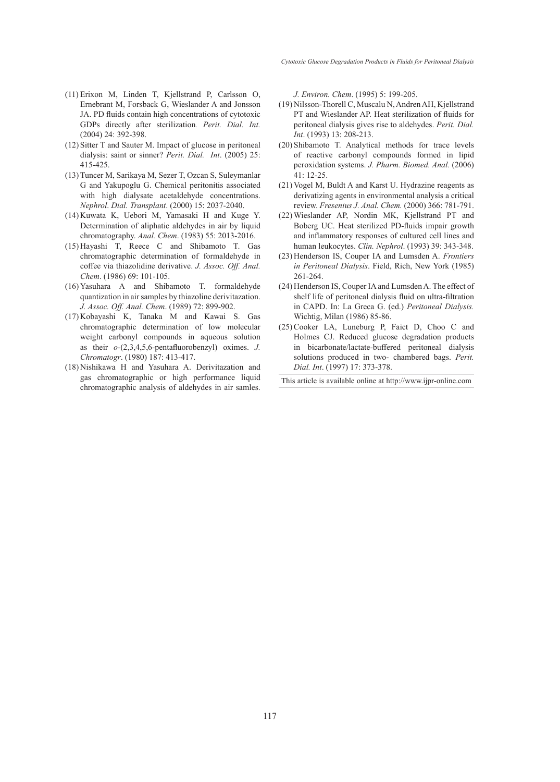- $(11)$  Erixon M, Linden T, Kjellstrand P, Carlsson O, Ernebrant M, Forsback G, Wieslander A and Jonsson JA. PD fluids contain high concentrations of cytotoxic GDPs directly after sterilization*. Perit. Dial. Int.* (2004) 24: 392-398.
- $(12)$  Sitter T and Sauter M. Impact of glucose in peritoneal dialysis: saint or sinner? *Perit. Dial. Int*. (2005) 25: 415-425.
- (13) Tuncer M, Sarikaya M, Sezer T, Ozcan S, Suleymanlar G and Yakupoglu G. Chemical peritonitis associated with high dialysate acetaldehyde concentrations. *Nephrol*. *Dial. Transplant*. (2000) 15: 2037-2040.
- $(14)$  Kuwata K, Uebori M, Yamasaki H and Kuge Y. Determination of aliphatic aldehydes in air by liquid chromatography. *Anal. Chem*. (1983) 55: 2013-2016.
- $(15)$  Hayashi T, Reece C and Shibamoto T. Gas chromatographic determination of formaldehyde in coffee via thiazolidine derivative. *J. Assoc. Off. Anal. Chem*. (1986) 69: 101-105.
- Yasuhara A and Shibamoto T. formaldehyde (16) quantization in air samples by thiazoline derivitazation. *J. Assoc. Off. Anal. Chem*. (1989) 72: 899-902.
- (17) Kobayashi K, Tanaka M and Kawai S. Gas chromatographic determination of low molecular weight carbonyl compounds in aqueous solution as their *o*-(2,3,4,5,6-pentafluorobenzyl) oximes. *J. Chromatogr*. (1980) 187: 413-417.
- (18) Nishikawa H and Yasuhara A. Derivitazation and gas chromatographic or high performance liquid chromatographic analysis of aldehydes in air samles.

*J. Environ. Chem*. (1995) 5: 199-205.

- (19) Nilsson-Thorell C, Muscalu N, Andren AH, Kjellstrand PT and Wieslander AP. Heat sterilization of fluids for peritoneal dialysis gives rise to aldehydes. *Perit. Dial. Int*. (1993) 13: 208-213.
- (20) Shibamoto T. Analytical methods for trace levels of reactive carbonyl compounds formed in lipid peroxidation systems. *J. Pharm. Biomed. Anal.* (2006) 41: 12-25.
- $(21)$  Vogel M, Buldt A and Karst U. Hydrazine reagents as derivatizing agents in environmental analysis a critical review. *Fresenius J. Anal. Chem.* (2000) 366: 781-791.
- Wieslander AP, Nordin MK, Kjellstrand PT and (22) Boberg UC. Heat sterilized PD-fluids impair growth and inflammatory responses of cultured cell lines and human leukocytes. *Clin. Nephrol*. (1993) 39: 343-348.
- (23) Henderson IS, Couper IA and Lumsden A. *Frontiers in Peritoneal Dialysis*. Field, Rich, New York (1985) 261-264.
- (24) Henderson IS, Couper IA and Lumsden A. The effect of shelf life of peritoneal dialysis fluid on ultra-filtration in CAPD. In: La Greca G. (ed.) *Peritoneal Dialysis.* Wichtig, Milan (1986) 85-86.
- $(25)$  Cooker LA, Luneburg P, Faict D, Choo C and Holmes CJ. Reduced glucose degradation products in bicarbonate/lactate-buffered peritoneal dialysis solutions produced in two- chambered bags. *Perit. Dial. Int*. (1997) 17: 373-378.

This article is available online at http://www.ijpr-online.com